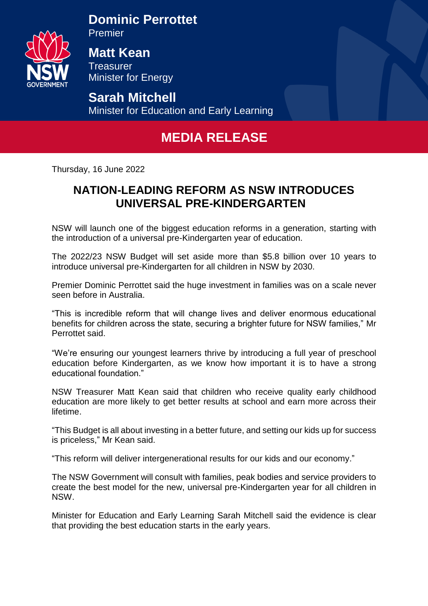

**Dominic Perrottet** 

Premier

**Matt Kean Treasurer** Minister for Energy

**Sarah Mitchell** Minister for Education and Early Learning

## **MEDIA RELEASE**

Thursday, 16 June 2022

## **NATION-LEADING REFORM AS NSW INTRODUCES UNIVERSAL PRE-KINDERGARTEN**

NSW will launch one of the biggest education reforms in a generation, starting with the introduction of a universal pre-Kindergarten year of education.

The 2022/23 NSW Budget will set aside more than \$5.8 billion over 10 years to introduce universal pre-Kindergarten for all children in NSW by 2030.

Premier Dominic Perrottet said the huge investment in families was on a scale never seen before in Australia.

"This is incredible reform that will change lives and deliver enormous educational benefits for children across the state, securing a brighter future for NSW families," Mr Perrottet said.

"We're ensuring our youngest learners thrive by introducing a full year of preschool education before Kindergarten, as we know how important it is to have a strong educational foundation."

NSW Treasurer Matt Kean said that children who receive quality early childhood education are more likely to get better results at school and earn more across their lifetime.

"This Budget is all about investing in a better future, and setting our kids up for success is priceless," Mr Kean said.

"This reform will deliver intergenerational results for our kids and our economy."

The NSW Government will consult with families, peak bodies and service providers to create the best model for the new, universal pre-Kindergarten year for all children in NSW.

Minister for Education and Early Learning Sarah Mitchell said the evidence is clear that providing the best education starts in the early years.